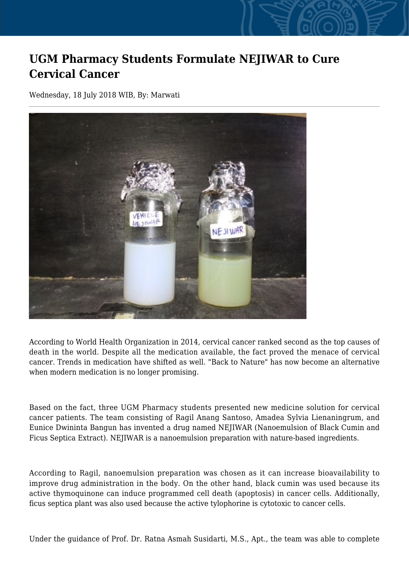## **UGM Pharmacy Students Formulate NEJIWAR to Cure Cervical Cancer**

Wednesday, 18 July 2018 WIB, By: Marwati



According to World Health Organization in 2014, cervical cancer ranked second as the top causes of death in the world. Despite all the medication available, the fact proved the menace of cervical cancer. Trends in medication have shifted as well. "Back to Nature" has now become an alternative when modern medication is no longer promising.

Based on the fact, three UGM Pharmacy students presented new medicine solution for cervical cancer patients. The team consisting of Ragil Anang Santoso, Amadea Sylvia Lienaningrum, and Eunice Dwininta Bangun has invented a drug named NEJIWAR (Nanoemulsion of Black Cumin and Ficus Septica Extract). NEJIWAR is a nanoemulsion preparation with nature-based ingredients.

According to Ragil, nanoemulsion preparation was chosen as it can increase bioavailability to improve drug administration in the body. On the other hand, black cumin was used because its active thymoquinone can induce programmed cell death (apoptosis) in cancer cells. Additionally, ficus septica plant was also used because the active tylophorine is cytotoxic to cancer cells.

Under the guidance of Prof. Dr. Ratna Asmah Susidarti, M.S., Apt., the team was able to complete